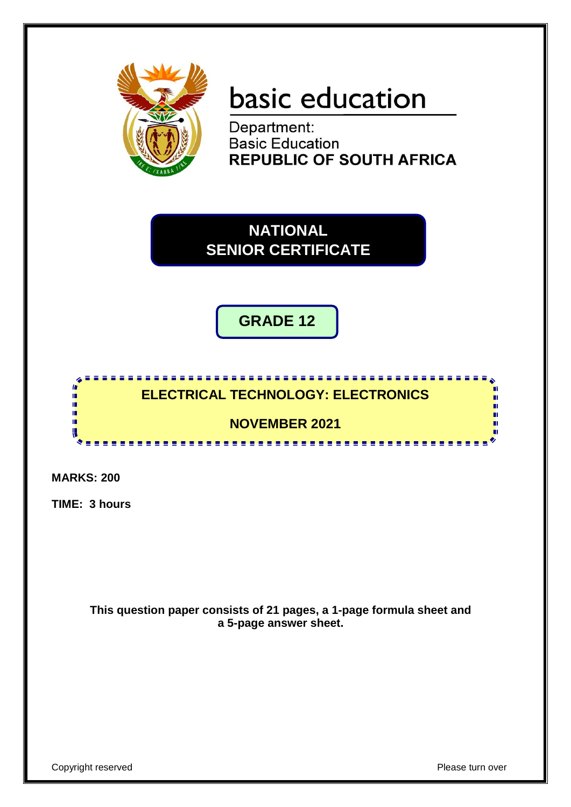

# basic education

Department: **Basic Education REPUBLIC OF SOUTH AFRICA** 

**NATIONAL SENIOR CERTIFICATE**

**GRADE 12**

# <u>,,,,,,,,,,,,,,,,,,,,,,,,,,,</u> **ELECTRICAL TECHNOLOGY: ELECTRONICS**

# **NOVEMBER 2021**

-------------------

**MARKS: 200**

**In** ΙÚ, n, ú, ΙÚ, U

**TIME: 3 hours**

**This question paper consists of 21 pages, a 1-page formula sheet and a 5-page answer sheet.**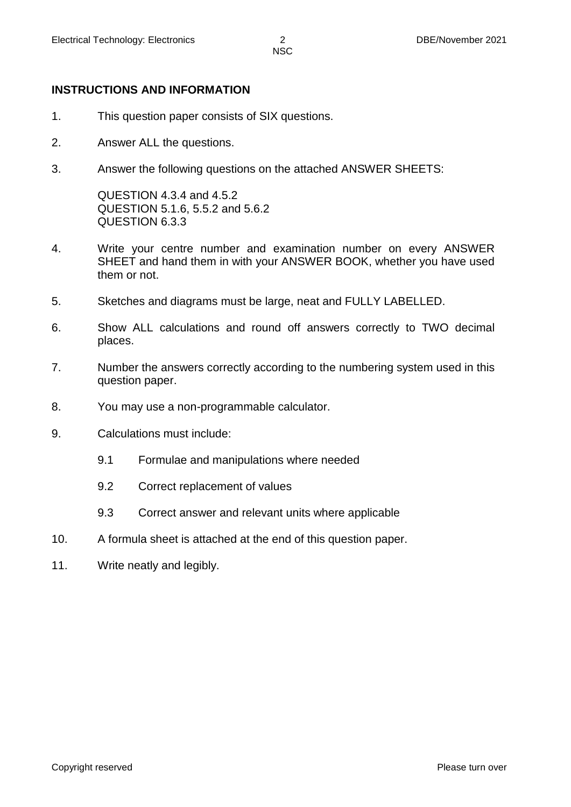# **INSTRUCTIONS AND INFORMATION**

- 1. This question paper consists of SIX questions.
- 2. Answer ALL the questions.
- 3. Answer the following questions on the attached ANSWER SHEETS:

QUESTION 4.3.4 and 4.5.2 QUESTION 5.1.6, 5.5.2 and 5.6.2 QUESTION 6.3.3

- 4. Write your centre number and examination number on every ANSWER SHEET and hand them in with your ANSWER BOOK, whether you have used them or not.
- 5. Sketches and diagrams must be large, neat and FULLY LABELLED.
- 6. Show ALL calculations and round off answers correctly to TWO decimal places.
- 7. Number the answers correctly according to the numbering system used in this question paper.
- 8. You may use a non-programmable calculator.
- 9. Calculations must include:
	- 9.1 Formulae and manipulations where needed
	- 9.2 Correct replacement of values
	- 9.3 Correct answer and relevant units where applicable
- 10. A formula sheet is attached at the end of this question paper.
- 11. Write neatly and legibly.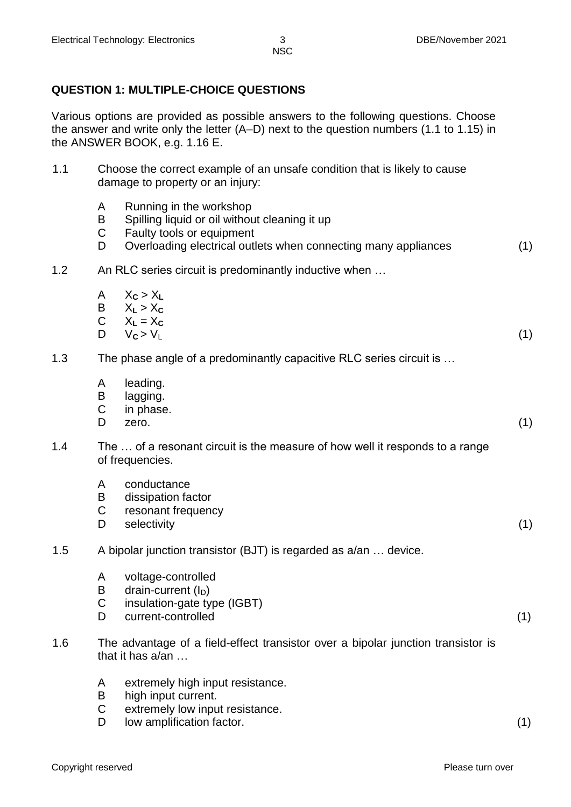#### **QUESTION 1: MULTIPLE-CHOICE QUESTIONS**

Various options are provided as possible answers to the following questions. Choose the answer and write only the letter (A–D) next to the question numbers (1.1 to 1.15) in the ANSWER BOOK, e.g. 1.16 E.

- 1.1 Choose the correct example of an unsafe condition that is likely to cause damage to property or an injury:
	- A Running in the workshop
	- B Spilling liquid or oil without cleaning it up
	- C Faulty tools or equipment
	- D Overloading electrical outlets when connecting many appliances (1)
- 1.2 An RLC series circuit is predominantly inductive when …
	- A  $X_c > X_L$ <br>B  $X_l > X_c$ B  $X_L > X_C$ <br>C  $X_L = X_C$
	- C  $X_L = X_C$ <br>D  $V_C > V_L$ 
		- $D \qquad V_C > V_L$  (1)
- 1.3 The phase angle of a predominantly capacitive RLC series circuit is …
	- A leading.
	- B lagging.<br>C in phase
	- in phase.
	- $D$  zero.  $(1)$
- 1.4 The … of a resonant circuit is the measure of how well it responds to a range of frequencies.
	- A conductance
	- B dissipation factor<br>C resonant frequence
	- resonant frequency
	- D selectivity (1)
- 1.5 A bipolar junction transistor (BJT) is regarded as a/an … device.
	- A voltage-controlled
	- B drain-current  $(I_D)$ <br>C insulation-gate tv
	- insulation-gate type (IGBT)
	- D current-controlled (1)
- 1.6 The advantage of a field-effect transistor over a bipolar junction transistor is that it has a/an …
	- A extremely high input resistance.
	- B high input current.
	- C extremely low input resistance.
	- D low amplification factor. (1)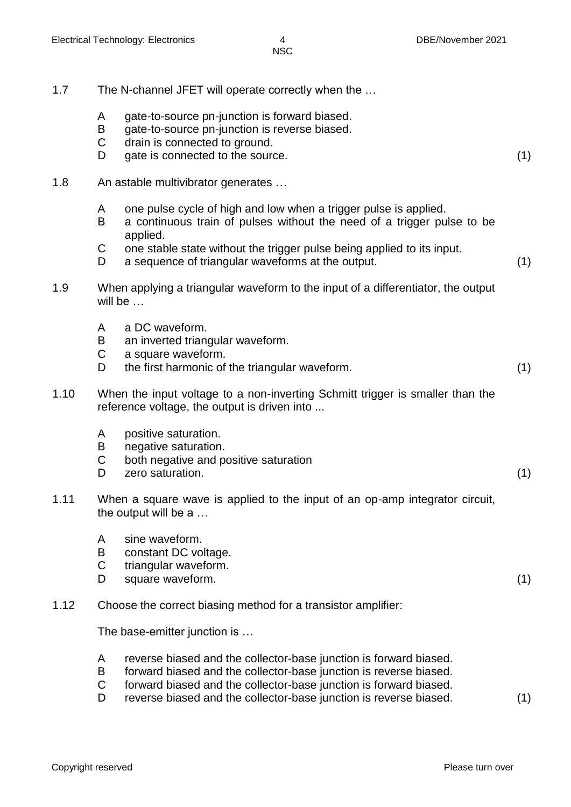- 1.7 The N-channel JFET will operate correctly when the …
	- A gate-to-source pn-junction is forward biased.
	- B gate-to-source pn-junction is reverse biased.
	- C drain is connected to ground.
	- D gate is connected to the source. (1)
- 1.8 An astable multivibrator generates …
	- A one pulse cycle of high and low when a trigger pulse is applied.<br>B a continuous train of pulses without the need of a trigger pu
	- a continuous train of pulses without the need of a trigger pulse to be applied.
	- C one stable state without the trigger pulse being applied to its input.
	- D a sequence of triangular waveforms at the output. (1)
- 1.9 When applying a triangular waveform to the input of a differentiator, the output will be …
	- A a DC waveform.
	- B an inverted triangular waveform.
	- C a square waveform.
	- D the first harmonic of the triangular waveform. (1)
- 1.10 When the input voltage to a non-inverting Schmitt trigger is smaller than the reference voltage, the output is driven into ...
	- A positive saturation.
	- B negative saturation.
	- C both negative and positive saturation
	- D zero saturation. (1)
- 1.11 When a square wave is applied to the input of an op-amp integrator circuit, the output will be a …
	- A sine waveform.
	- B constant DC voltage.
	- C triangular waveform.
	- D square waveform. (1)
- 1.12 Choose the correct biasing method for a transistor amplifier:

The base-emitter junction is …

- A reverse biased and the collector-base junction is forward biased.
- B forward biased and the collector-base junction is reverse biased.
- C forward biased and the collector-base junction is forward biased.
- D reverse biased and the collector-base junction is reverse biased. (1)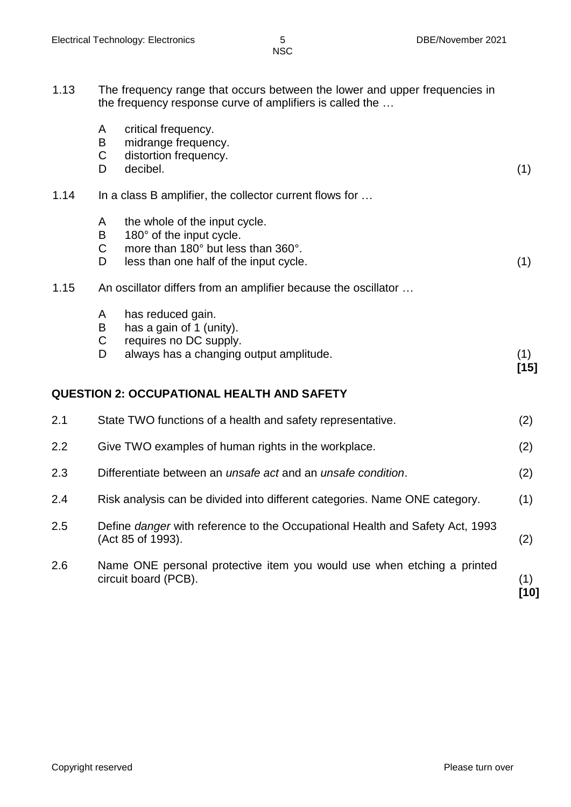| 1.13 | The frequency range that occurs between the lower and upper frequencies in<br>the frequency response curve of amplifiers is called the |                       |  |  |
|------|----------------------------------------------------------------------------------------------------------------------------------------|-----------------------|--|--|
|      | A                                                                                                                                      | critical frequency.   |  |  |
|      | B                                                                                                                                      | midrange frequency.   |  |  |
|      |                                                                                                                                        | distortion frequency. |  |  |

| 1.14 | In a class B amplifier, the collector current flows for |
|------|---------------------------------------------------------|

- A the whole of the input cycle.
- B 180° of the input cycle.<br>C more than 180° but less
- more than 180° but less than 360°. D less than one half of the input cycle. (1)  $(1)$
- 1.15 An oscillator differs from an amplifier because the oscillator …
	- A has reduced gain.
	-
	- B has a gain of 1 (unity).<br>C requires no DC supply. requires no DC supply.
	- D always has a changing output amplitude. (1)

D decibel. (1)

**[15]**

#### **QUESTION 2: OCCUPATIONAL HEALTH AND SAFETY**

| 2.6 | Name ONE personal protective item you would use when etching a printed<br>circuit board (PCB).           | (1)<br>[10] |
|-----|----------------------------------------------------------------------------------------------------------|-------------|
| 2.5 | Define <i>danger</i> with reference to the Occupational Health and Safety Act, 1993<br>(Act 85 of 1993). | (2)         |
| 2.4 | Risk analysis can be divided into different categories. Name ONE category.                               | (1)         |
| 2.3 | Differentiate between an <i>unsafe act</i> and an <i>unsafe condition</i> .                              | (2)         |
| 2.2 | Give TWO examples of human rights in the workplace.                                                      | (2)         |
| 2.1 | State TWO functions of a health and safety representative.                                               | (2)         |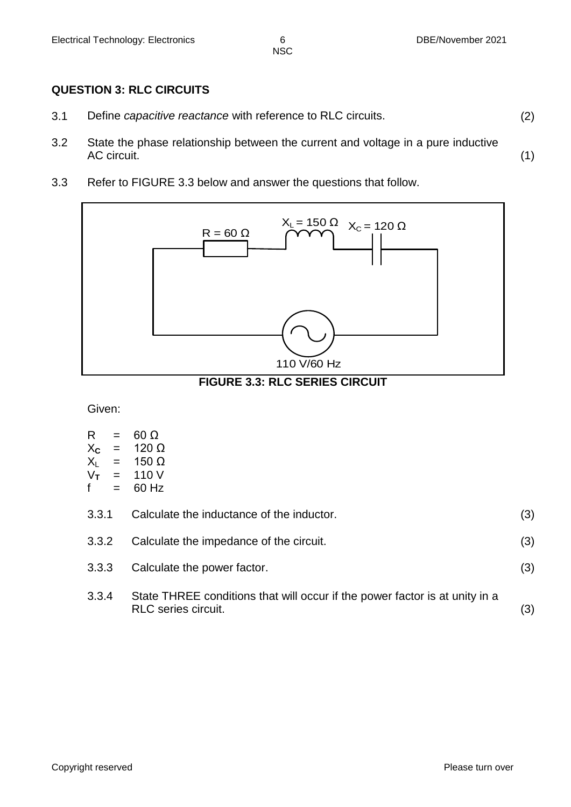#### **QUESTION 3: RLC CIRCUITS**

- 3.1 Define *capacitive reactance* with reference to RLC circuits. (2)
- 3.2 State the phase relationship between the current and voltage in a pure inductive<br>AC circuit. AC circuit. (1)
- 3.3 Refer to FIGURE 3.3 below and answer the questions that follow.



**FIGURE 3.3: RLC SERIES CIRCUIT**

Given:

| 60 $\Omega$ |
|-------------|
|             |

- $X_c$  = 120 Ω<br> $X_L$  = 150 Ω
- $X_L$  = 150 Ω<br> $V_T$  = 110 V
- $V_T$  = 110 V<br>f = 60 Hz  $= 60$  Hz
- 

| 3.3.1 | Calculate the inductance of the inductor.     |     |
|-------|-----------------------------------------------|-----|
|       | 3.3.2 Calculate the impedance of the circuit. | (3) |
|       | 3.3.3 Calculate the power factor.             |     |

3.3.4 State THREE conditions that will occur if the power factor is at unity in a RLC series circuit. (3)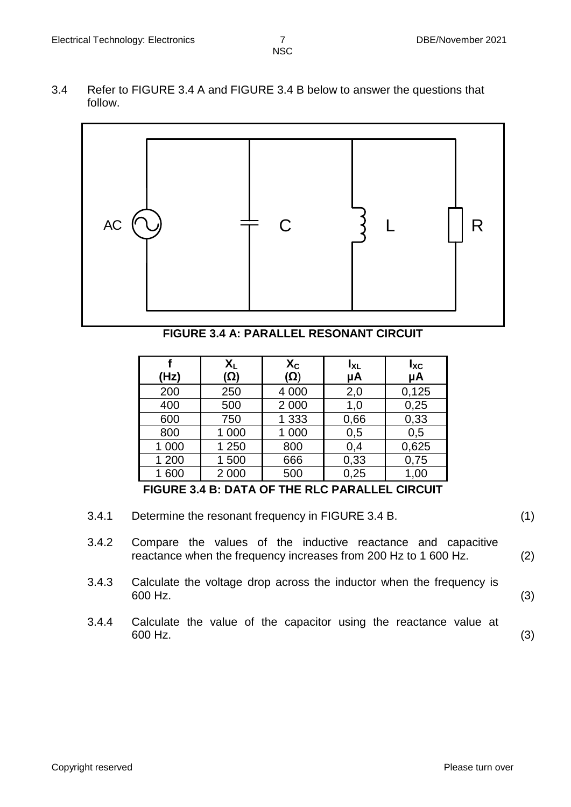3.4 Refer to FIGURE 3.4 A and FIGURE 3.4 B below to answer the questions that follow.



**FIGURE 3.4 A: PARALLEL RESONANT CIRCUIT**

|       | $X_L$   | $X_{C}$ | $I_{XL}$ | $I_{\text{XC}}$ |
|-------|---------|---------|----------|-----------------|
| (Hz)  | (Ω)     | (Ω)     | μA       | μA              |
| 200   | 250     | 4 0 0 0 | 2,0      | 0,125           |
| 400   | 500     | 2 0 0 0 | 1,0      | 0,25            |
| 600   | 750     | 1 3 3 3 | 0,66     | 0,33            |
| 800   | 1 000   | 1 000   | 0,5      | 0,5             |
| 1 000 | 1 250   | 800     | 0,4      | 0,625           |
| 1 200 | 1 500   | 666     | 0,33     | 0,75            |
| 1 600 | 2 0 0 0 | 500     | 0,25     | 1,00            |

**FIGURE 3.4 B: DATA OF THE RLC PARALLEL CIRCUIT**

- 3.4.1 Determine the resonant frequency in FIGURE 3.4 B. (1)
- 3.4.2 Compare the values of the inductive reactance and capacitive reactance when the frequency increases from 200 Hz to 1 600 Hz. (2)
- 3.4.3 Calculate the voltage drop across the inductor when the frequency is  $600$  Hz. (3)
- 3.4.4 Calculate the value of the capacitor using the reactance value at  $600$  Hz. (3)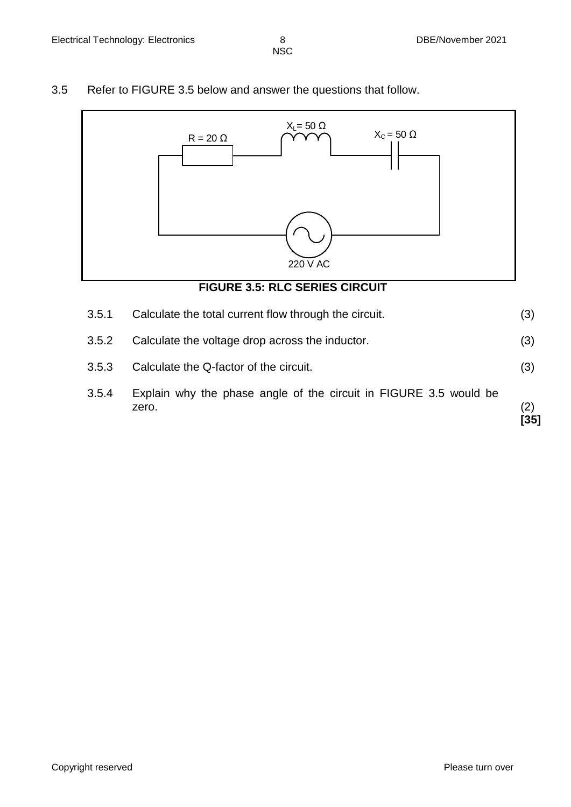3.5 Refer to FIGURE 3.5 below and answer the questions that follow.



- 3.5.3 Calculate the Q-factor of the circuit. (3)
- 3.5.4 Explain why the phase angle of the circuit in FIGURE 3.5 would be zero.  $(2)$ **[35]**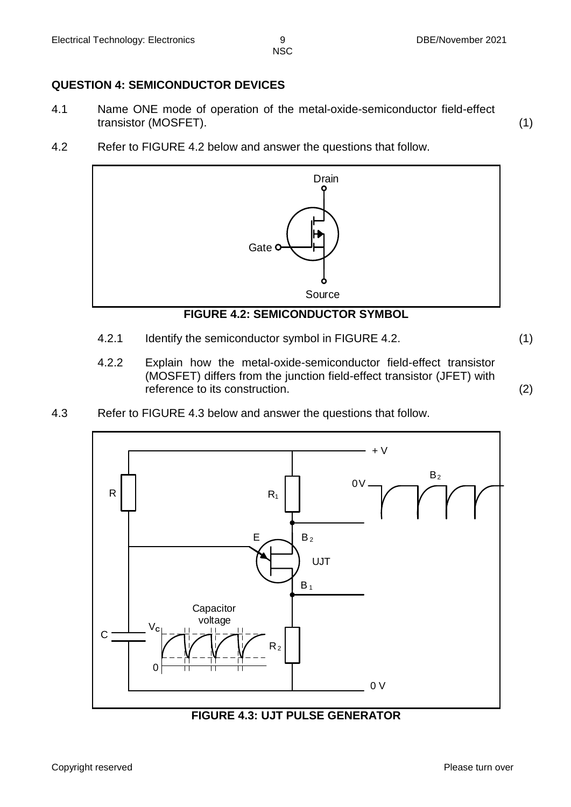# **QUESTION 4: SEMICONDUCTOR DEVICES**

- 4.1 Name ONE mode of operation of the metal-oxide-semiconductor field-effect transistor (MOSFET). (1)
- 4.2 Refer to FIGURE 4.2 below and answer the questions that follow.



### **FIGURE 4.2: SEMICONDUCTOR SYMBOL**

- 4.2.1 Identify the semiconductor symbol in FIGURE 4.2. (1)
- 4.2.2 Explain how the metal-oxide-semiconductor field-effect transistor (MOSFET) differs from the junction field-effect transistor (JFET) with reference to its construction. (2)
- 4.3 Refer to FIGURE 4.3 below and answer the questions that follow.



**FIGURE 4.3: UJT PULSE GENERATOR**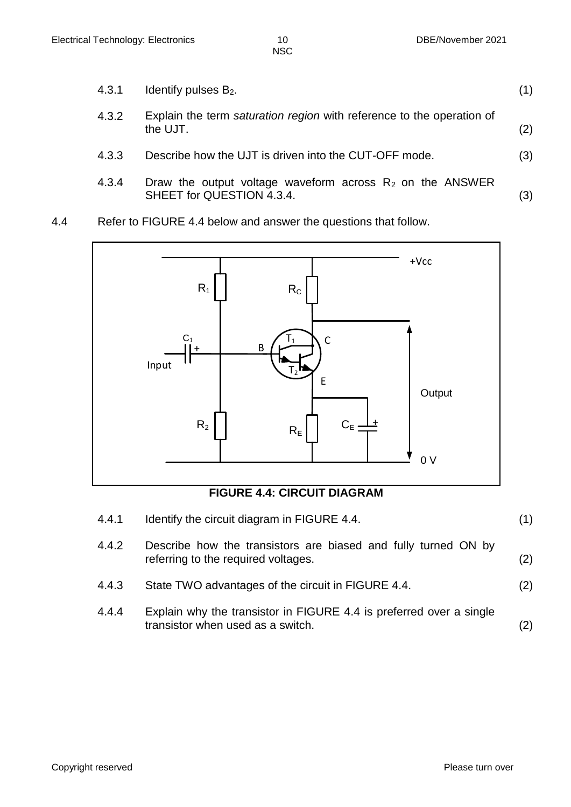- 4.3.1 Identify pulses  $B_2$ . (1) 4.3.2 Explain the term *saturation region* with reference to the operation of  $\qquad \qquad \text{the UJT}. \tag{2}$ 4.3.3 Describe how the UJT is driven into the CUT-OFF mode. (3) 4.3.4 Draw the output voltage waveform across  $R_2$  on the ANSWER SHEET for QUESTION 4.3.4. (3)
- 4.4 Refer to FIGURE 4.4 below and answer the questions that follow.



# **FIGURE 4.4: CIRCUIT DIAGRAM**

4.4.1 Identify the circuit diagram in FIGURE 4.4. (1)

| 4.4.2 | Describe how the transistors are biased and fully turned ON by<br>referring to the required voltages. | (2) |
|-------|-------------------------------------------------------------------------------------------------------|-----|
| 4.4.3 | State TWO advantages of the circuit in FIGURE 4.4.                                                    | (2) |
| 4.4.4 | Explain why the transistor in FIGURE 4.4 is preferred over a single                                   |     |

transistor when used as a switch. (2)

Copyright reserved **Please** turn over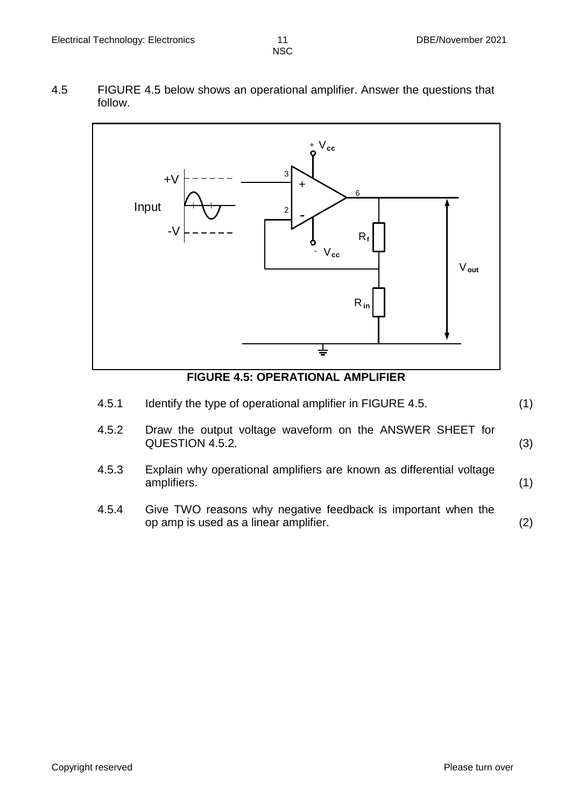4.5 FIGURE 4.5 below shows an operational amplifier. Answer the questions that follow.



**FIGURE 4.5: OPERATIONAL AMPLIFIER**

| 4.5.1 | Identify the type of operational amplifier in FIGURE 4.5.                                             | (1) |
|-------|-------------------------------------------------------------------------------------------------------|-----|
| 4.5.2 | Draw the output voltage waveform on the ANSWER SHEET for<br>QUESTION 4.5.2.                           | (3) |
| 4.5.3 | Explain why operational amplifiers are known as differential voltage<br>amplifiers.                   | (1) |
| 4.5.4 | Give TWO reasons why negative feedback is important when the<br>op amp is used as a linear amplifier. | (2) |
|       |                                                                                                       |     |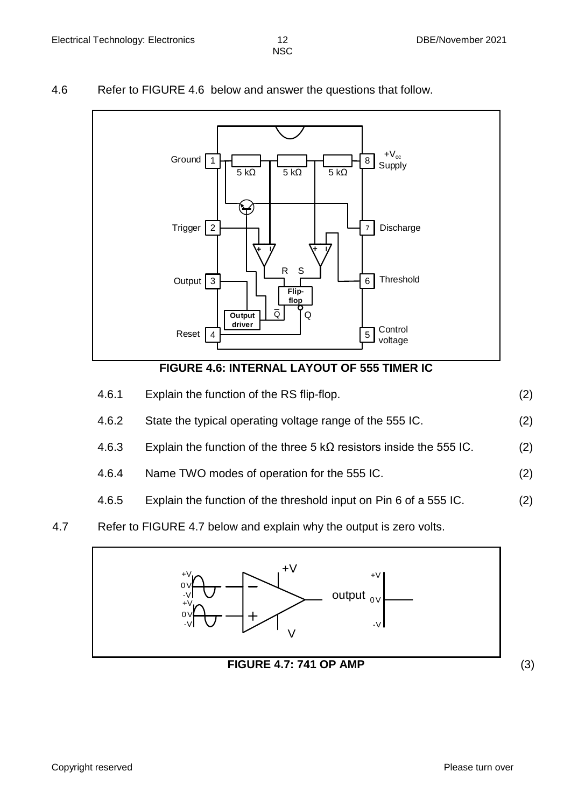#### 4.6 Refer to FIGURE 4.6 below and answer the questions that follow.



# **FIGURE 4.6: INTERNAL LAYOUT OF 555 TIMER IC**

| 4.6.1 | Explain the function of the RS flip-flop.                                   | (2) |
|-------|-----------------------------------------------------------------------------|-----|
| 4.6.2 | State the typical operating voltage range of the 555 IC.                    | (2) |
| 4.6.3 | Explain the function of the three 5 k $\Omega$ resistors inside the 555 IC. | (2) |
| 4.6.4 | Name TWO modes of operation for the 555 IC.                                 | (2) |
| 4.6.5 | Explain the function of the threshold input on Pin 6 of a 555 IC.           | (2) |

### 4.7 Refer to FIGURE 4.7 below and explain why the output is zero volts.

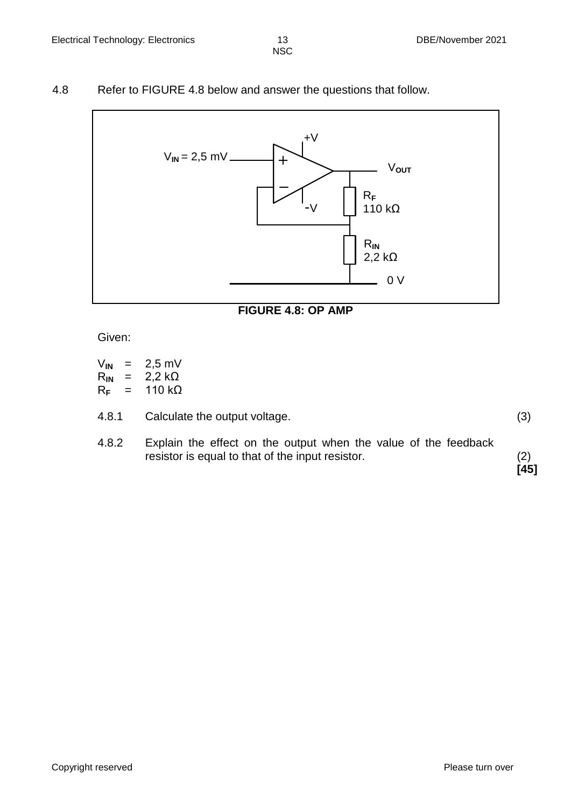#### 4.8 Refer to FIGURE 4.8 below and answer the questions that follow.



#### **FIGURE 4.8: OP AMP**

Given:

| V <sub>IN</sub> | = | $2,5$ mV       |
|-----------------|---|----------------|
| $R_{IN}$        | = | 2,2 k $\Omega$ |
| $R_F$           | = | 110 kΩ         |

| 4.8.1 | Calculate the output voltage. |  |
|-------|-------------------------------|--|

4.8.2 Explain the effect on the output when the value of the feedback resistor is equal to that of the input resistor. (2)

**[45]**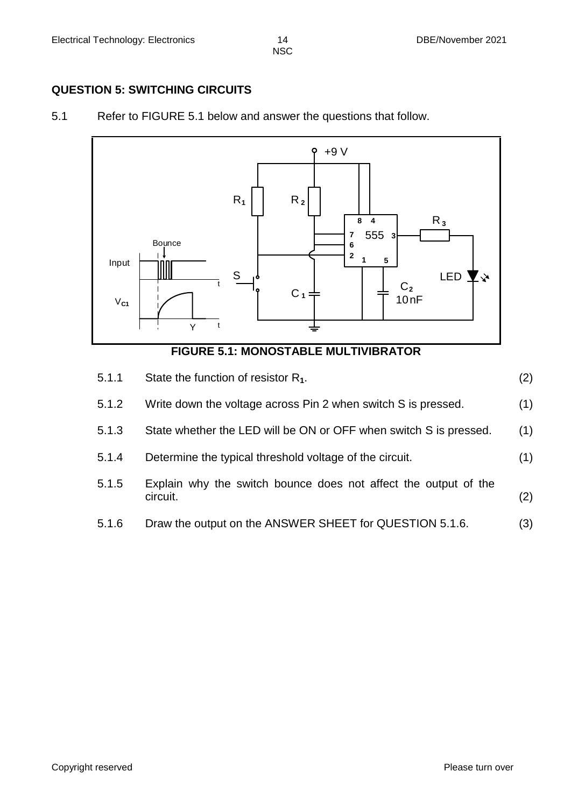#### **QUESTION 5: SWITCHING CIRCUITS**

5.1 Refer to FIGURE 5.1 below and answer the questions that follow.



#### **FIGURE 5.1: MONOSTABLE MULTIVIBRATOR**

| 5.1.1 | State the function of resistor $R_1$ .                                      | (2) |
|-------|-----------------------------------------------------------------------------|-----|
| 5.1.2 | Write down the voltage across Pin 2 when switch S is pressed.               | (1) |
| 5.1.3 | State whether the LED will be ON or OFF when switch S is pressed.           | (1) |
| 5.1.4 | Determine the typical threshold voltage of the circuit.                     | (1) |
| 5.1.5 | Explain why the switch bounce does not affect the output of the<br>circuit. | (2) |
| 5.1.6 | Draw the output on the ANSWER SHEET for QUESTION 5.1.6.                     | (3) |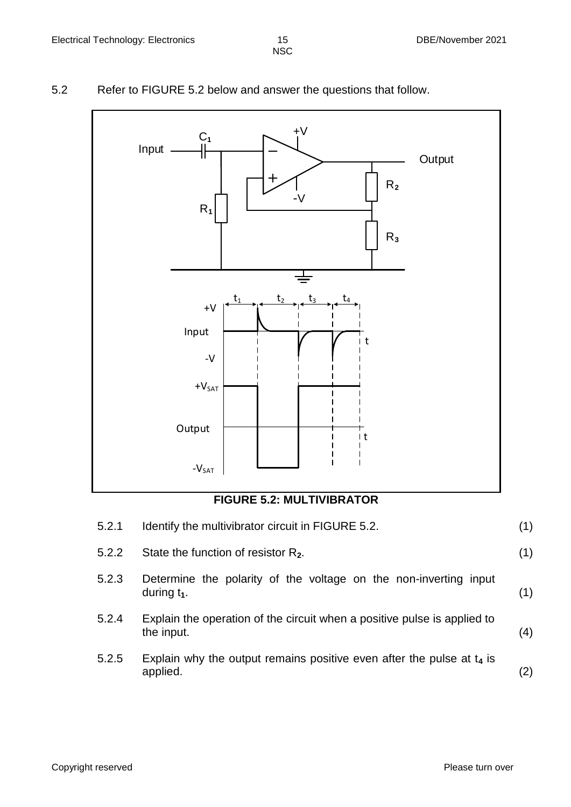5.2 Refer to FIGURE 5.2 below and answer the questions that follow.



**FIGURE 5.2: MULTIVIBRATOR**

| 5.2.1 | Identify the multivibrator circuit in FIGURE 5.2.                                      | (1) |
|-------|----------------------------------------------------------------------------------------|-----|
| 5.2.2 | State the function of resistor $R_2$ .                                                 | (1) |
| 5.2.3 | Determine the polarity of the voltage on the non-inverting input<br>during $t_1$ .     | (1) |
| 5.2.4 | Explain the operation of the circuit when a positive pulse is applied to<br>the input. | (4) |
| 5.2.5 | Explain why the output remains positive even after the pulse at $t_4$ is<br>applied.   | (2) |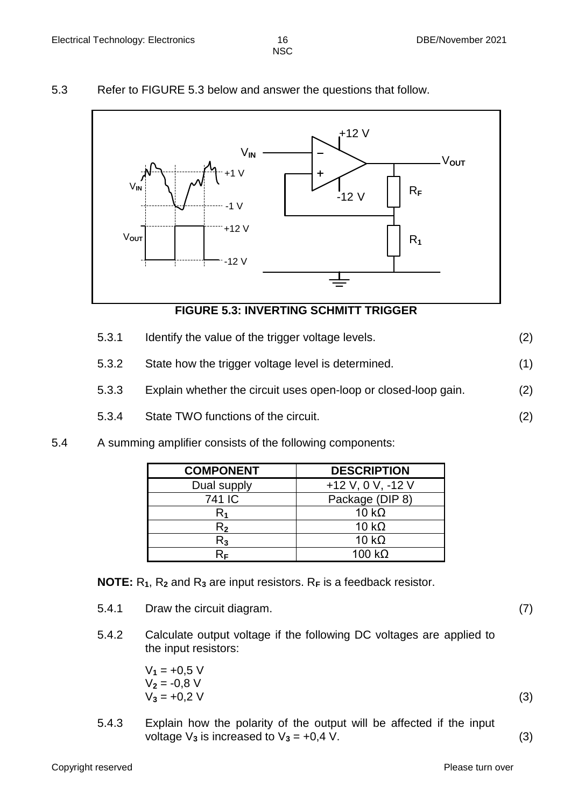#### 5.3 Refer to FIGURE 5.3 below and answer the questions that follow.



#### **FIGURE 5.3: INVERTING SCHMITT TRIGGER**

- 5.3.1 Identify the value of the trigger voltage levels. (2)
- 5.3.2 State how the trigger voltage level is determined. (1)
- 5.3.3 Explain whether the circuit uses open-loop or closed-loop gain. (2)
- 5.3.4 State TWO functions of the circuit. (2)
- 5.4 A summing amplifier consists of the following components:

| <b>COMPONENT</b> | <b>DESCRIPTION</b>  |
|------------------|---------------------|
| Dual supply      | $+12$ V, 0 V, -12 V |
| 741 IC           | Package (DIP 8)     |
| R1               | 10 $k\Omega$        |
| $\mathsf{R}_2$   | 10 $k\Omega$        |
| $\mathsf{R}_3$   | 10 $k\Omega$        |
| RF               | 100 k $\Omega$      |

**NOTE:** R**1**, R**<sup>2</sup>** and R**<sup>3</sup>** are input resistors. R**<sup>F</sup>** is a feedback resistor.

- 5.4.1 Draw the circuit diagram. (7)
- 5.4.2 Calculate output voltage if the following DC voltages are applied to the input resistors:

$$
V_1 = +0.5 V
$$
  
\n
$$
V_2 = -0.8 V
$$
  
\n
$$
V_3 = +0.2 V
$$
\n(3)

5.4.3 Explain how the polarity of the output will be affected if the input voltage  $V_3$  is increased to  $V_3 = +0.4$  V. (3)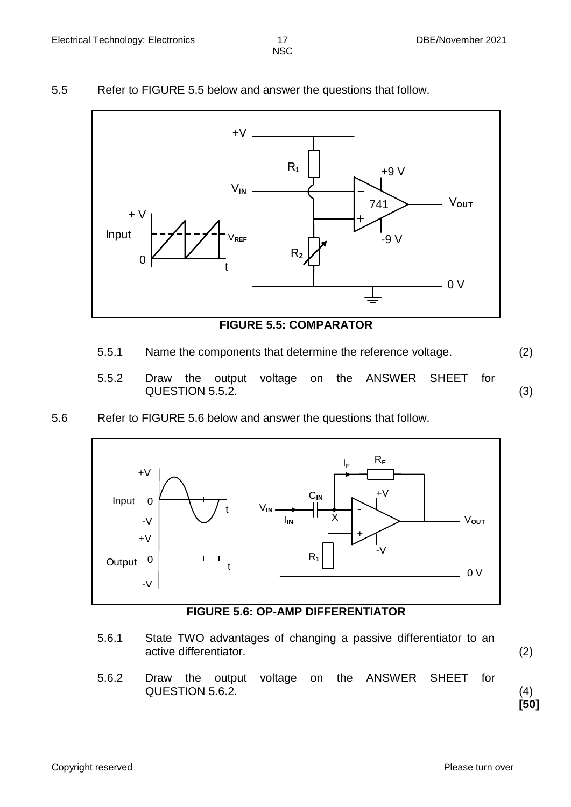#### 5.5 Refer to FIGURE 5.5 below and answer the questions that follow.



#### **FIGURE 5.5: COMPARATOR**

- 5.5.1 Name the components that determine the reference voltage. (2)
	-
- 5.5.2 Draw the output voltage on the ANSWER SHEET for QUESTION 5.5.2. (3)
- 5.6 Refer to FIGURE 5.6 below and answer the questions that follow.



**FIGURE 5.6: OP-AMP DIFFERENTIATOR**

- 5.6.1 State TWO advantages of changing a passive differentiator to an active differentiator. (2)
	-

**[50]**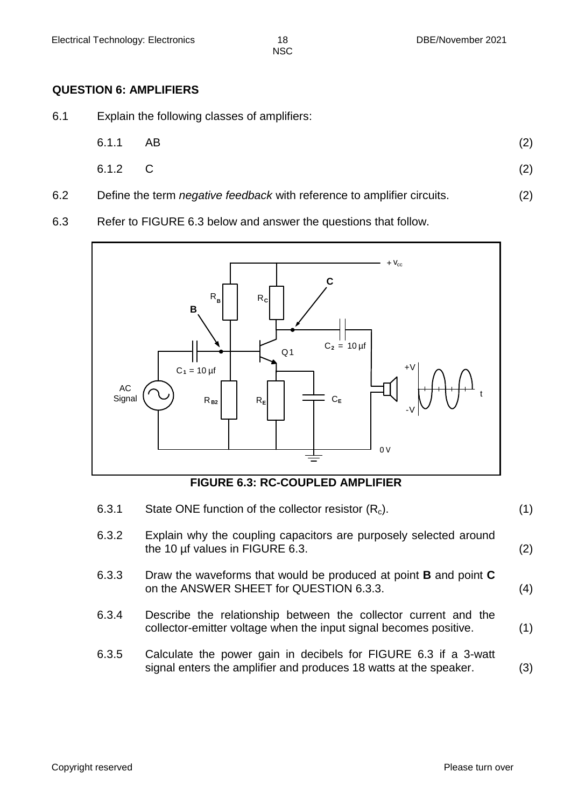#### **QUESTION 6: AMPLIFIERS**

6.1 Explain the following classes of amplifiers:

| 6.1.1 AB | (2) |
|----------|-----|
| 6.1.2 C  | (2) |

- 6.2 Define the term *negative feedback* with reference to amplifier circuits. (2)
- 6.3 Refer to FIGURE 6.3 below and answer the questions that follow.



**FIGURE 6.3: RC-COUPLED AMPLIFIER**

| 6.3.1 | State ONE function of the collector resistor $(R_c)$ .                                                                               | (1) |
|-------|--------------------------------------------------------------------------------------------------------------------------------------|-----|
| 6.3.2 | Explain why the coupling capacitors are purposely selected around<br>the 10 µf values in FIGURE 6.3.                                 | (2) |
| 6.3.3 | Draw the waveforms that would be produced at point <b>B</b> and point <b>C</b><br>on the ANSWER SHEET for QUESTION 6.3.3.            | (4) |
| 6.3.4 | Describe the relationship between the collector current and the<br>collector-emitter voltage when the input signal becomes positive. | (1) |
| 6.3.5 | Calculate the power gain in decibels for FIGURE 6.3 if a 3-watt<br>signal enters the amplifier and produces 18 watts at the speaker. | 3)  |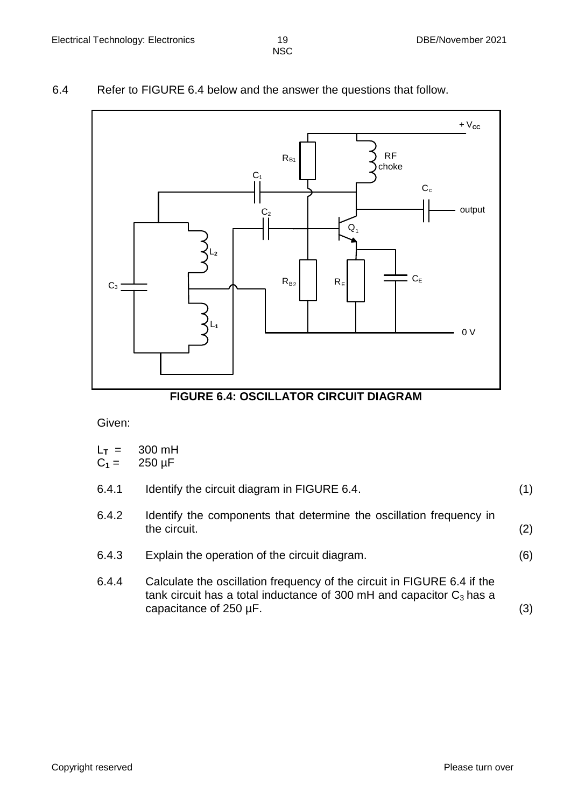#### 6.4 Refer to FIGURE 6.4 below and the answer the questions that follow.



#### **FIGURE 6.4: OSCILLATOR CIRCUIT DIAGRAM**

Given:

- $L_T =$ 300 mH
- $C_1 =$ 250 µF

| 6.4.1 | Identify the circuit diagram in FIGURE 6.4. |  |
|-------|---------------------------------------------|--|
|-------|---------------------------------------------|--|

- 6.4.2 Identify the components that determine the oscillation frequency in the circuit. (2)
- 6.4.3 Explain the operation of the circuit diagram. (6)
- 6.4.4 Calculate the oscillation frequency of the circuit in FIGURE 6.4 if the tank circuit has a total inductance of 300 mH and capacitor  $C_3$  has a capacitance of  $250 \mu$ F. (3)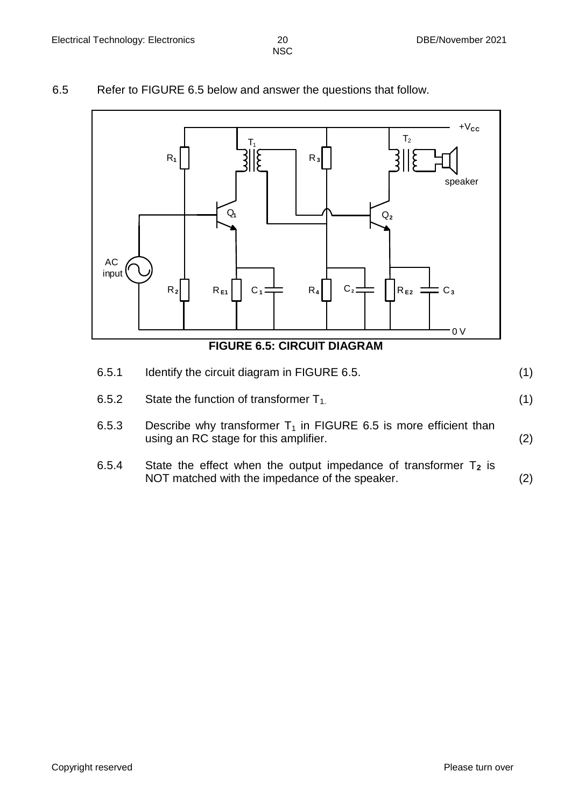#### 6.5 Refer to FIGURE 6.5 below and answer the questions that follow.



- 6.5.2 State the function of transformer  $T_{1}$ . (1)
- 6.5.3 Describe why transformer  $T_1$  in FIGURE 6.5 is more efficient than using an RC stage for this amplifier. (2)
- 6.5.4 State the effect when the output impedance of transformer  $T_2$  is NOT matched with the impedance of the speaker. (2)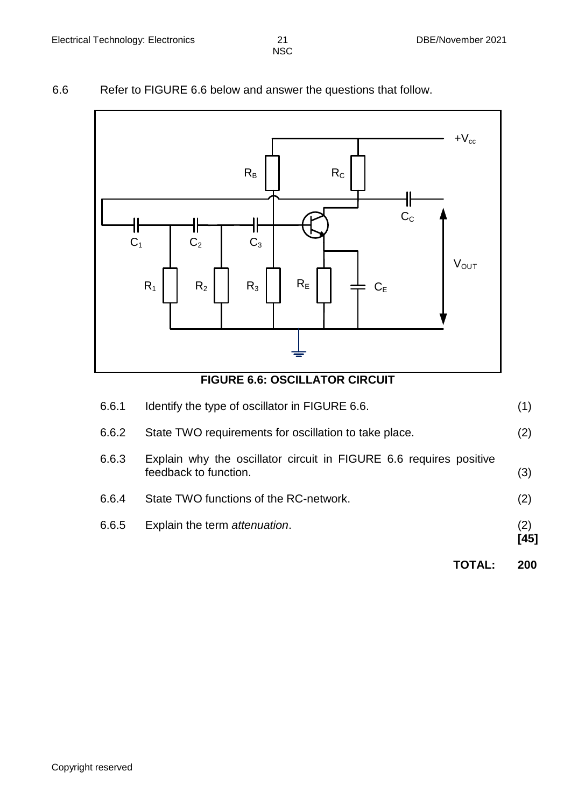# 6.6 Refer to FIGURE 6.6 below and answer the questions that follow.



|       |                                                                                             | <b>TOTAL:</b> | 200         |
|-------|---------------------------------------------------------------------------------------------|---------------|-------------|
| 6.6.5 | Explain the term attenuation.                                                               |               | (2)<br>[45] |
| 6.6.4 | State TWO functions of the RC-network.                                                      |               | (2)         |
| 6.6.3 | Explain why the oscillator circuit in FIGURE 6.6 requires positive<br>feedback to function. |               | (3)         |
| 6.6.2 | State TWO requirements for oscillation to take place.                                       |               | (2)         |
| 6.6.1 | Identify the type of oscillator in FIGURE 6.6.                                              |               | (1)         |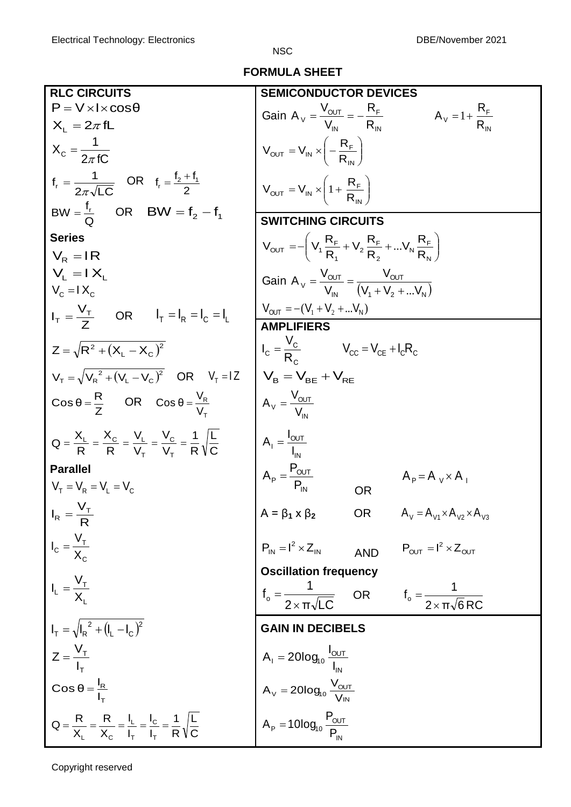**FORMULA SHEET**

| <b>RLC CIRCUITS</b>                                                                                      | <b>SEMICONDUCTOR DEVICES</b>                                                                                                                                                  |  |  |  |  |  |  |  |  |
|----------------------------------------------------------------------------------------------------------|-------------------------------------------------------------------------------------------------------------------------------------------------------------------------------|--|--|--|--|--|--|--|--|
| $P = V \times I \times cos\theta$                                                                        |                                                                                                                                                                               |  |  |  |  |  |  |  |  |
| $X_L = 2\pi fL$                                                                                          | Gain $A_v = \frac{V_{OUT}}{V_{IN}} = -\frac{R_F}{R_{IN}}$<br>$A_V = 1 + \frac{R_F}{R_{av}}$                                                                                   |  |  |  |  |  |  |  |  |
| $X_c = \frac{1}{2\pi fC}$                                                                                | $V_{\text{OUT}} = V_{\text{IN}} \times \left(-\frac{R_{\text{F}}}{R_{\text{IV}}}\right)$                                                                                      |  |  |  |  |  |  |  |  |
| $f_r = \frac{1}{2\pi\sqrt{LC}}$ OR $f_r = \frac{f_2 + f_1}{2}$                                           | $V_{\text{OUT}} = V_{\text{IN}} \times \left(1 + \frac{R_F}{R}\right)$                                                                                                        |  |  |  |  |  |  |  |  |
| $BW = \frac{f_r}{Q}$ OR BW = $f_2 - f_1$                                                                 | <b>SWITCHING CIRCUITS</b>                                                                                                                                                     |  |  |  |  |  |  |  |  |
| <b>Series</b>                                                                                            |                                                                                                                                                                               |  |  |  |  |  |  |  |  |
| $V_R = IR$                                                                                               | $V_{\text{OUT}} = -\left(V_1 \frac{R_F}{R_A} + V_2 \frac{R_F}{R_2} +  V_N \frac{R_F}{R_N}\right)$                                                                             |  |  |  |  |  |  |  |  |
| $V_1 = IX_1$                                                                                             | Gain A <sub>V</sub> = $\frac{V_{OUT}}{V_{in}} = \frac{V_{OUT}}{(V_{1} + V_{2} +  V_{N})}$                                                                                     |  |  |  |  |  |  |  |  |
| $V_c = IX_c$                                                                                             |                                                                                                                                                                               |  |  |  |  |  |  |  |  |
| $I_T = \frac{V_T}{7}$ OR $I_T = I_R = I_C = I_L$                                                         | $V_{\text{OUT}} = -(V_1 + V_2 +  V_N)$<br><b>AMPLIFIERS</b>                                                                                                                   |  |  |  |  |  |  |  |  |
|                                                                                                          |                                                                                                                                                                               |  |  |  |  |  |  |  |  |
| $Z = \sqrt{R^2 + (X_1 - X_2)^2}$                                                                         | $I_{C} = \frac{V_{C}}{R}$ $V_{CC} = V_{CE} + I_{C}R_{C}$                                                                                                                      |  |  |  |  |  |  |  |  |
| $V_{\tau} = \sqrt{V_{P}^{2} + (V_{I} - V_{C})^{2}}$ OR $V_{T} = 1Z$                                      | $V_B = V_{BF} + V_{RF}$                                                                                                                                                       |  |  |  |  |  |  |  |  |
| $\cos \theta = \frac{R}{7}$ OR $\cos \theta = \frac{V_R}{V}$                                             | $A_v = \frac{V_{OUT}}{V_{av}}$                                                                                                                                                |  |  |  |  |  |  |  |  |
| $Q = \frac{X_L}{R} = \frac{X_C}{R} = \frac{V_L}{V_-} = \frac{V_C}{V_-} = \frac{1}{R} \sqrt{\frac{L}{C}}$ | $A_1 = \frac{I_{OUT}}{I_{IV}}$                                                                                                                                                |  |  |  |  |  |  |  |  |
| <b>Parallel</b>                                                                                          |                                                                                                                                                                               |  |  |  |  |  |  |  |  |
| $V_{\rm T} = V_{\rm R} = V_{\rm L} = V_{\rm C}$                                                          | $A_{P} = \frac{P_{OUT}}{P_{in}}$<br>$A_{p} = A_{V} \times A_{V}$<br><b>OR</b>                                                                                                 |  |  |  |  |  |  |  |  |
| $I_R = \frac{V_T}{R}$                                                                                    | $A = \beta_1 \times \beta_2$ OR $A_v = A_{v1} \times A_{v2} \times A_{v3}$                                                                                                    |  |  |  |  |  |  |  |  |
| $I_c = \frac{V_T}{X_c}$                                                                                  | $P_{IN} = I^2 \times Z_{IN}$<br>$P_{OUT} = I^2 \times Z_{OUT}$<br><b>AND</b>                                                                                                  |  |  |  |  |  |  |  |  |
|                                                                                                          | <b>Oscillation frequency</b>                                                                                                                                                  |  |  |  |  |  |  |  |  |
| $I_L = \frac{V_T}{X_L}$                                                                                  | $f_o = \frac{1}{2 \times \pi \sqrt{LC}}$ OR $f_o = \frac{1}{2 \times \pi \sqrt{6} RC}$                                                                                        |  |  |  |  |  |  |  |  |
| $I_T = \sqrt{I_R^2 + (I_L - I_C)^2}$                                                                     | <b>GAIN IN DECIBELS</b>                                                                                                                                                       |  |  |  |  |  |  |  |  |
| $Z = \frac{V_T}{I_T}$                                                                                    | $A_1 = 20log_{10} \frac{I_{\text{OUT}}}{I_{\text{IN}}}$<br>$A_V = 20log_{10} \frac{V_{\text{OUT}}}{V_{\text{IN}}}$<br>$A_P = 10log_{10} \frac{P_{\text{OUT}}}{P_{\text{IN}}}$ |  |  |  |  |  |  |  |  |
| $\cos \theta = \frac{I_R}{I_T}$                                                                          |                                                                                                                                                                               |  |  |  |  |  |  |  |  |
| $Q = \frac{R}{X_1} = \frac{R}{X_C} = \frac{I_L}{I_T} = \frac{I_C}{I_T} = \frac{1}{R}\sqrt{\frac{L}{C}}$  |                                                                                                                                                                               |  |  |  |  |  |  |  |  |

Copyright reserved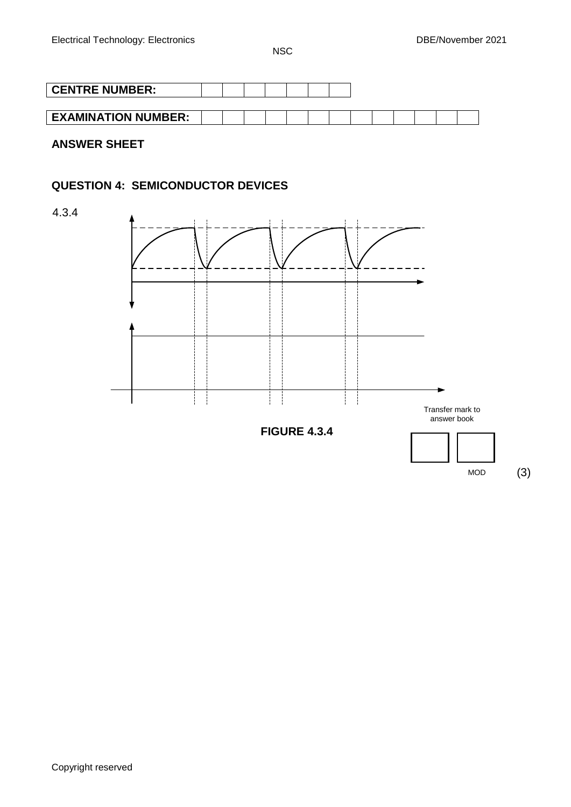| <b>CENTRE NUMBER:</b>      |  |  |  |  |  |  |  |
|----------------------------|--|--|--|--|--|--|--|
|                            |  |  |  |  |  |  |  |
| <b>EXAMINATION NUMBER:</b> |  |  |  |  |  |  |  |

**ANSWER SHEET**

# **QUESTION 4: SEMICONDUCTOR DEVICES**

4.3.4

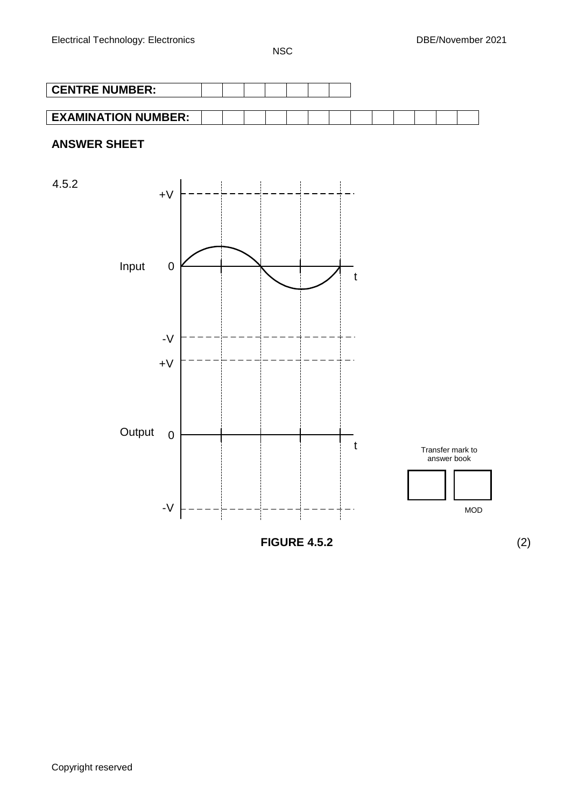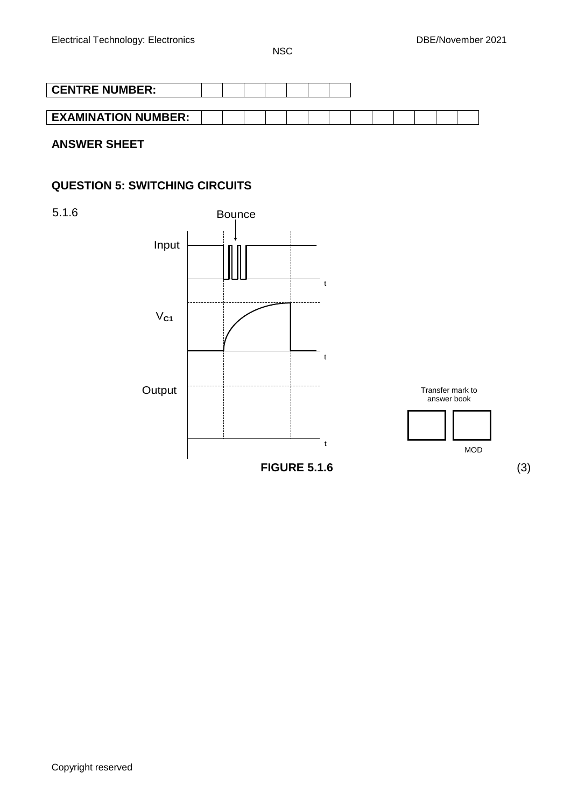| <b>CENTRE NUMBER:</b>      |  |  |  |  |  |  |  |
|----------------------------|--|--|--|--|--|--|--|
|                            |  |  |  |  |  |  |  |
| <b>EXAMINATION NUMBER:</b> |  |  |  |  |  |  |  |

**ANSWER SHEET**

# **QUESTION 5: SWITCHING CIRCUITS**

5.1.6

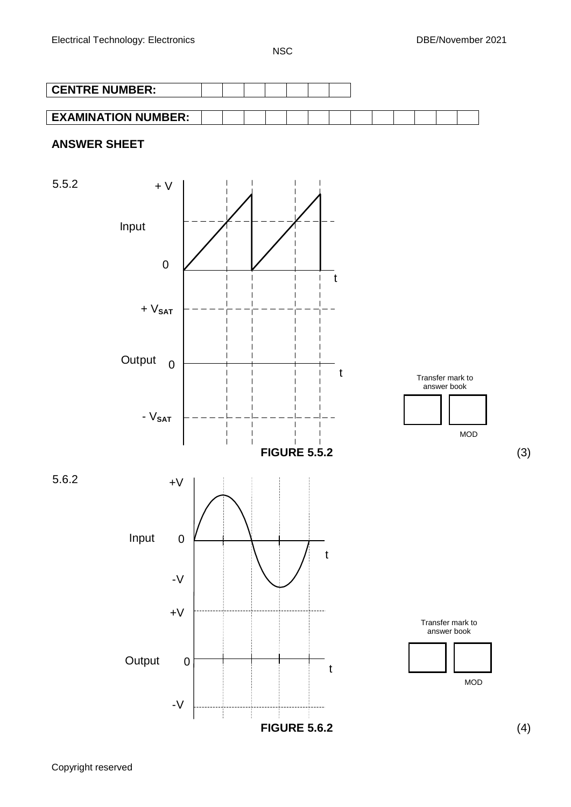